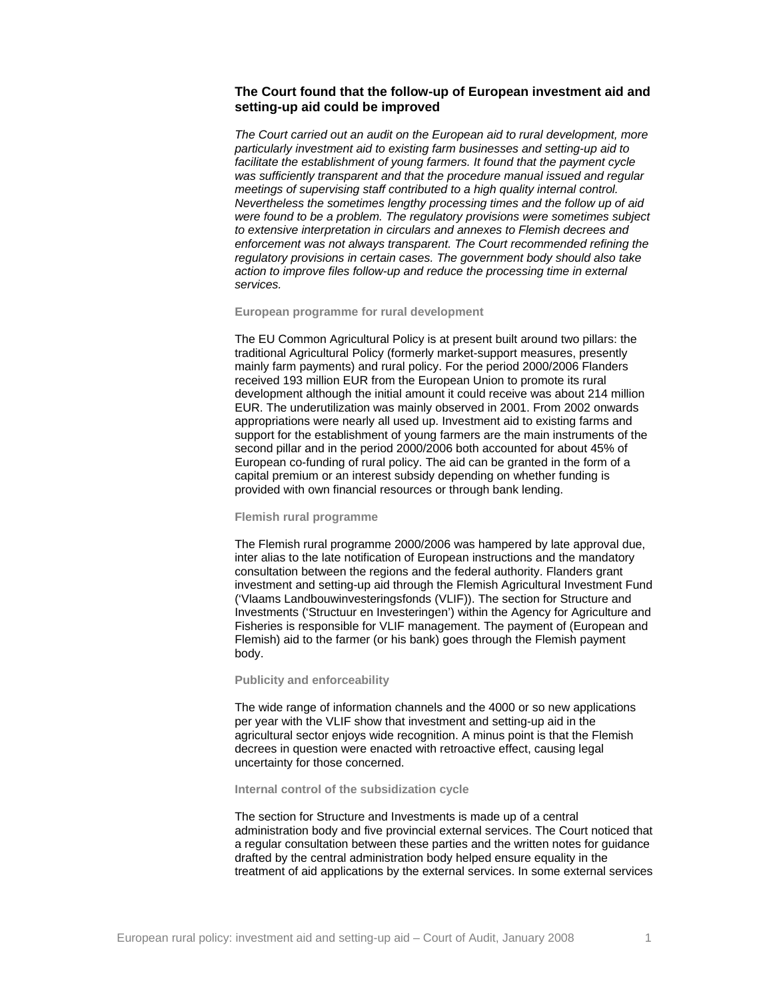# **The Court found that the follow-up of European investment aid and setting-up aid could be improved**

*The Court carried out an audit on the European aid to rural development, more particularly investment aid to existing farm businesses and setting-up aid to facilitate the establishment of young farmers. It found that the payment cycle was sufficiently transparent and that the procedure manual issued and regular meetings of supervising staff contributed to a high quality internal control. Nevertheless the sometimes lengthy processing times and the follow up of aid were found to be a problem. The regulatory provisions were sometimes subject to extensive interpretation in circulars and annexes to Flemish decrees and enforcement was not always transparent. The Court recommended refining the regulatory provisions in certain cases. The government body should also take action to improve files follow-up and reduce the processing time in external services.* 

## **European programme for rural development**

The EU Common Agricultural Policy is at present built around two pillars: the traditional Agricultural Policy (formerly market-support measures, presently mainly farm payments) and rural policy. For the period 2000/2006 Flanders received 193 million EUR from the European Union to promote its rural development although the initial amount it could receive was about 214 million EUR. The underutilization was mainly observed in 2001. From 2002 onwards appropriations were nearly all used up. Investment aid to existing farms and support for the establishment of young farmers are the main instruments of the second pillar and in the period 2000/2006 both accounted for about 45% of European co-funding of rural policy. The aid can be granted in the form of a capital premium or an interest subsidy depending on whether funding is provided with own financial resources or through bank lending.

#### **Flemish rural programme**

The Flemish rural programme 2000/2006 was hampered by late approval due, inter alias to the late notification of European instructions and the mandatory consultation between the regions and the federal authority. Flanders grant investment and setting-up aid through the Flemish Agricultural Investment Fund ('Vlaams Landbouwinvesteringsfonds (VLIF)). The section for Structure and Investments ('Structuur en Investeringen') within the Agency for Agriculture and Fisheries is responsible for VLIF management. The payment of (European and Flemish) aid to the farmer (or his bank) goes through the Flemish payment body.

## **Publicity and enforceability**

The wide range of information channels and the 4000 or so new applications per year with the VLIF show that investment and setting-up aid in the agricultural sector enjoys wide recognition. A minus point is that the Flemish decrees in question were enacted with retroactive effect, causing legal uncertainty for those concerned.

## **Internal control of the subsidization cycle**

The section for Structure and Investments is made up of a central administration body and five provincial external services. The Court noticed that a regular consultation between these parties and the written notes for guidance drafted by the central administration body helped ensure equality in the treatment of aid applications by the external services. In some external services